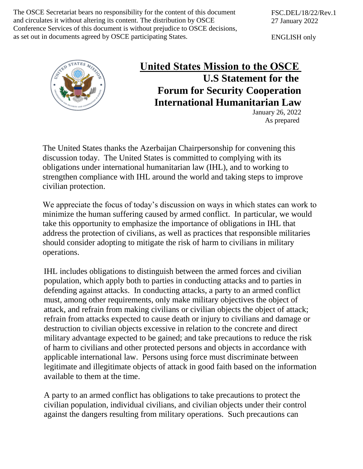The OSCE Secretariat bears no responsibility for the content of this document and circulates it without altering its content. The distribution by OSCE Conference Services of this document is without prejudice to OSCE decisions, as set out in documents agreed by OSCE participating States.

ENGLISH only



## **United States Mission to the OSCE  U.S Statement for the Forum for Security Cooperation International Humanitarian Law**

January 26, 2022 As prepared

The United States thanks the Azerbaijan Chairpersonship for convening this discussion today. The United States is committed to complying with its obligations under international humanitarian law (IHL), and to working to strengthen compliance with IHL around the world and taking steps to improve civilian protection.

We appreciate the focus of today's discussion on ways in which states can work to minimize the human suffering caused by armed conflict. In particular, we would take this opportunity to emphasize the importance of obligations in IHL that address the protection of civilians, as well as practices that responsible militaries should consider adopting to mitigate the risk of harm to civilians in military operations.

IHL includes obligations to distinguish between the armed forces and civilian population, which apply both to parties in conducting attacks and to parties in defending against attacks. In conducting attacks, a party to an armed conflict must, among other requirements, only make military objectives the object of attack, and refrain from making civilians or civilian objects the object of attack; refrain from attacks expected to cause death or injury to civilians and damage or destruction to civilian objects excessive in relation to the concrete and direct military advantage expected to be gained; and take precautions to reduce the risk of harm to civilians and other protected persons and objects in accordance with applicable international law. Persons using force must discriminate between legitimate and illegitimate objects of attack in good faith based on the information available to them at the time.

A party to an armed conflict has obligations to take precautions to protect the civilian population, individual civilians, and civilian objects under their control against the dangers resulting from military operations. Such precautions can